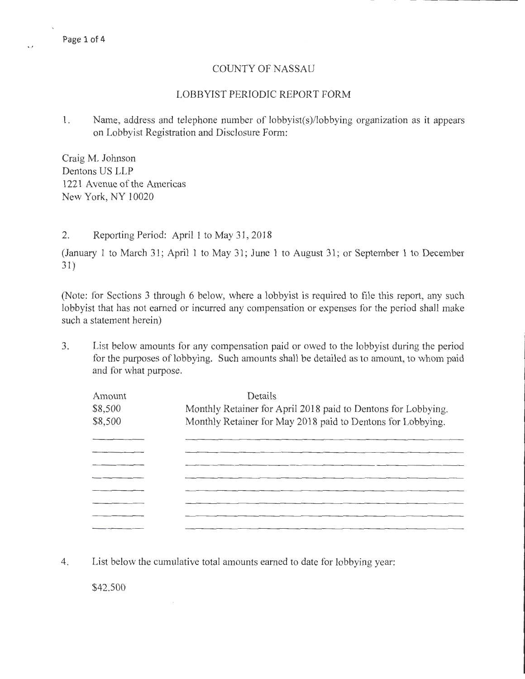## COUNTY OF NASSAU

### LOBBYIST PERIODIC REPORT FORM

**1.** Name, address and telephone number of lobbyist(s)/lobbying organization as it appears on Lobbyist Registration and Disclosure Form:

Craig M. Johnson Dentons US LLP 1221 Avenue of the Americas New York, NY 10020

### 2. Reporting Period: April **1** to May 31, 2018

(January 1 to March 31; April **1** to May 31; June 1 to August 31; or September 1 to December 31)

(Note: for Sections 3 through 6 below, where a lobbyist is required to file this report, any such lobbyist that has not earned or incurred any compensation or expenses for the period shall make such a statement herein)

3. List below amounts for any compensation paid or owed to the lobbyist during the period for the purposes of lobbying. Such amounts shall be detailed as to amount, to whom paid and for what purpose.

| Amount  | Details                                                       |  |  |  |
|---------|---------------------------------------------------------------|--|--|--|
| \$8,500 | Monthly Retainer for April 2018 paid to Dentons for Lobbying. |  |  |  |
| \$8,500 | Monthly Retainer for May 2018 paid to Dentons for Lobbying.   |  |  |  |
|         |                                                               |  |  |  |
|         |                                                               |  |  |  |
|         |                                                               |  |  |  |
|         |                                                               |  |  |  |
|         |                                                               |  |  |  |
|         |                                                               |  |  |  |
|         |                                                               |  |  |  |
|         |                                                               |  |  |  |

**4.** List below the cumulative total amounts earned to date for lobbying year:

\$42.500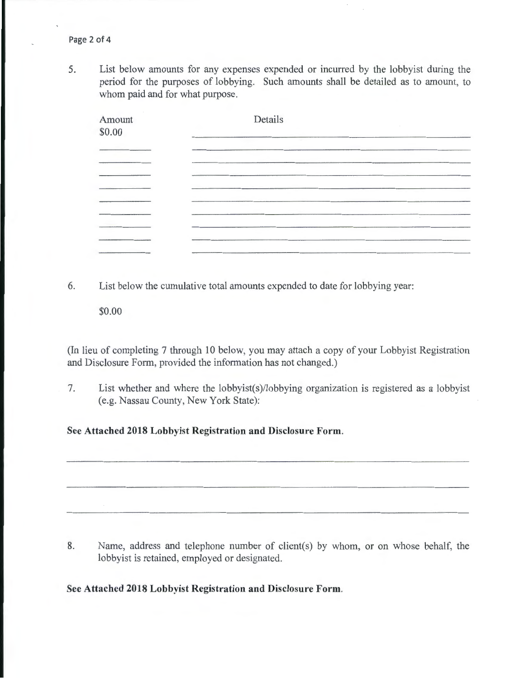5. List below amounts for any expenses expended or incurred by the lobbyist during the period for the purposes of lobbying. Such amounts shall be detailed as to amount, to whom paid and for what purpose.

| Amount<br>\$0.00 | Details     |  |
|------------------|-------------|--|
|                  |             |  |
|                  |             |  |
|                  |             |  |
|                  |             |  |
|                  | <b>1999</b> |  |
|                  |             |  |
|                  |             |  |
|                  |             |  |

6. List below the cumulative total amounts expended to date for lobbying year:

\$0.00

(In lieu of completing 7 through 10 below, you may attach a copy of your Lobbyist Registration and Disclosure Form, provided the information has not changed.)

7. List whether and where the lobbyist(s)/lobbying organization is registered as a lobbyist (e.g. Nassau County, New York State):

**See Attached 2018 Lobbyist Registration and Disclosure Form.** 

8. Name, address and telephone number of client(s) by whom, or on whose behalf, the lobbyist is retained, employed or designated.

**See Attached 2018 Lobbyist Registration and Disclosure Form.**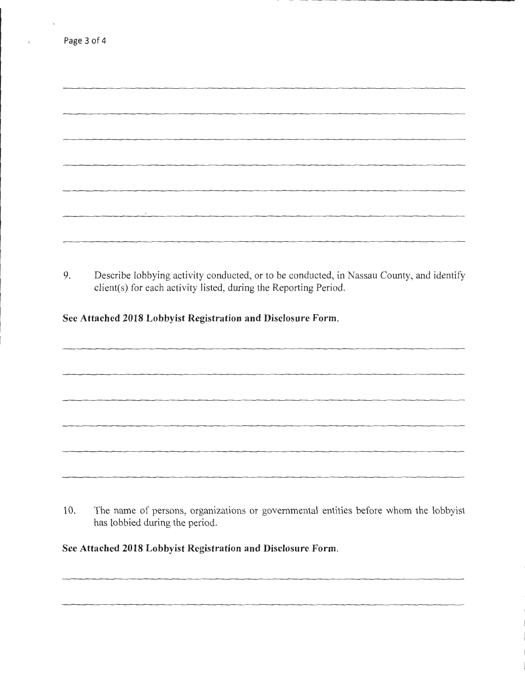| the property of the control of the |  |  |
|------------------------------------|--|--|
|                                    |  |  |

9. Describe lobbying activity conducted, or to be conducted, in Nassau County, and identify client(s) for each activity listed, during the Reporting Period.

**See Attached 2018 Lobbyist Registration and Disclosure Form.** 

Page 3 of 4

10. The name of persons, organizations or governmental entities before whom the lobbyist has lobbied during the period.

**See Attached 2018 Lobbyist Registration and Disclosure Form.**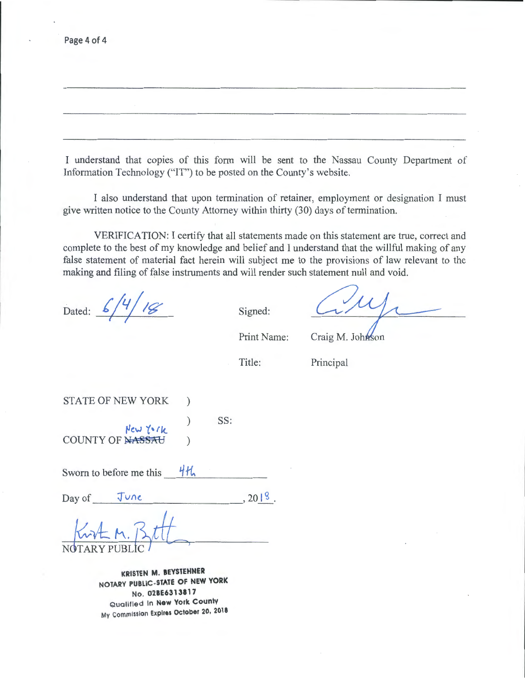Page 4 of 4

I understand that copies of this form will be sent to the Nassau County Department of Information Technology ("IT") to be posted on the County's website.

I also understand that upon termination of retainer, employment or designation I must give written notice to the County Attorney within thirty (30) days of termination.

VERIFICATION: I certify that all statements made on this statement are true, correct and complete to the best of my knowledge and belief and I understand that the willful making of any false statement of material fact herein will subject me to the provisions of law relevant to the making and filing of false instruments and will render such statement null and void.

Dated:  $6/4/18$  Signed:

Print Name:

Craig M. Johnson

Title:

SS:

Principal

STATE OF NEW YORK )

~cw *t .. rk.*  COUNTY OF NASSAU

Sworn to before me this  $\frac{4\pi}{10}$ 

Day of  $\frac{f \cup n \epsilon}{\sqrt{n}}$ , 2018.

**KRISTEN M. IEYSTEHNER NOTARY PUBLIC-STATE OF NEW YORK**  No. 02BE6313817 Qualified In **New York County**  MY Commission **Expires October 20, 2018**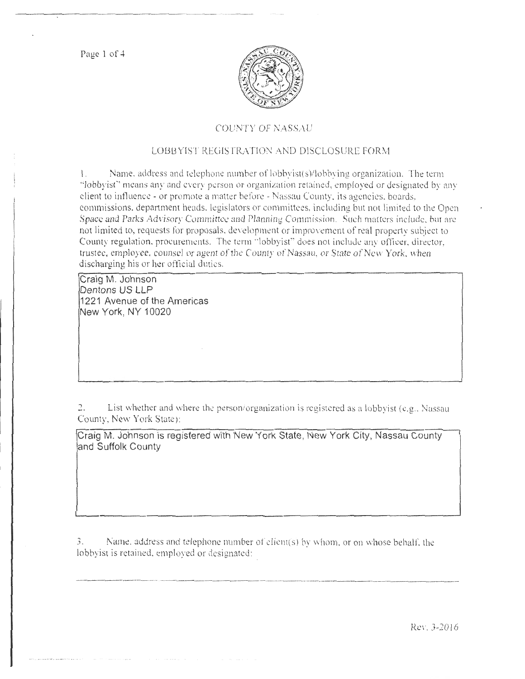Page 1 of 4



## COUNTY OF NASSAU

# LOBBYIST REGISTRATION AND DISCLOSURE FORM

 $1.$  Name, address and telephone number of lobby ist(s)/lobbying organization. The term "lobbyist" means any and every person or organization retained, employed or designated by any client to influence - or promote a matter before - Nassau County, its agencies, boards, commissions, department heads, legislators or committees, including but not limited to the Open Space and Parks Advisory Committee and Planning Commission. Such matters include, but are not limited to, requests for proposals. development or improvement of real property subject to County regulation, procurements. The term "lobbyist" does not include any officer, director, trustee, employee, counsel or agent of the County of Nassau, or State of New York, when discharging his or her official duties.

Craig M. Johnson Dentons US LLP 1221 Avenue of the Americas New York, NY 10020

2. List whether and where the person/organization is registered as a lobbyist (e.g., Nassau County, New York State):

Craig M. Johnson is registered with New York State, New York City, Nassau County and Suffolk County

 $3.$  Name. address and telephone number of client(s) by whom, or on whose behalf, the lobbyist is retained, employed or designated: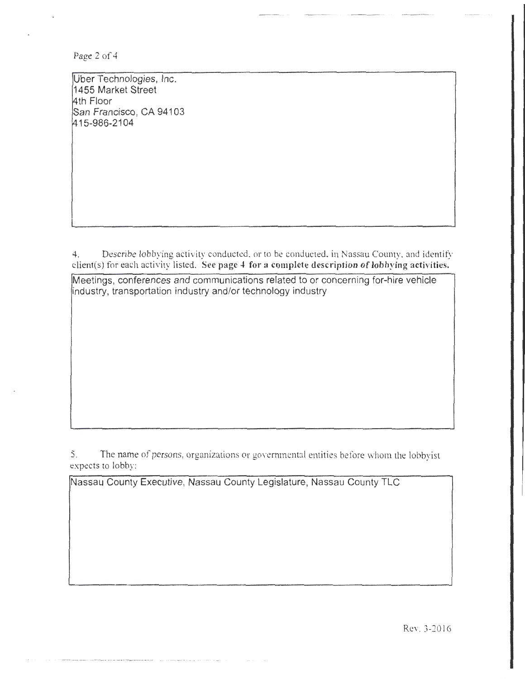Page 2 of 4

Uber Technologies, Inc. 1455 Market Street 14th Floor San Francisco, CA 94103 415-986-2104

4. Describe lobbying activity conducted. or to be conducted. in Nassau County. and identify client(s) for each activity listed. See page 4 for a complete description of lobbying activities.

Meetings, conferences and communications related to or concerning for-hire vehicle industry, transportation industry and/or technology industry

5. The name of persons, organizations or governmental entities before whom the lobbyist expects to lobby:

Nassau County Executive, Nassau County Legislature, Nassau County TLC

Rev. 3-2016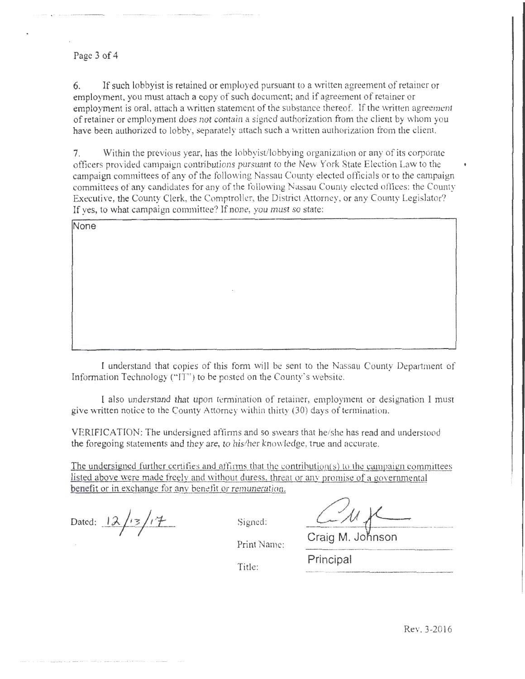#### Page 3 of 4

-- . ------ - - - --------

6. If such lobbyist is retained or employed pursuant to a written agreement of retainer or employment. you must attach a copy of such document; and if agreement of retainer or employment is oral, attach a written statement of the substance thereof. If the written agreement of retainer or employment does not contain a signed authorization from the client by whom you have been authorized to lobby, separately attach such a written authorization from the client.

7. Within the previous year, has the lobbyist/lobbying organization or any of its corporate officers provided campaign contributions pursuant to the New York State Election Law to the campaign committees of any of the following Nassau County elected officials or to the campaign committees of any candidates for any of the following Nassau County elected offices; the County Executive, the County Clerk, the Comptroller, the District Attorney, or any County Legislator? If yes, to what campaign committee? If none, you must so state:

**None** 

I understand that copies of this form will be sent to the Nassau County Department of Information Technology ("IT") to be posted on the County's website.

I also understand that upon termination of retainer, employment or designation l must give written notice to the County Attorney within thirty (30) days of termination.

VERJFICA TION: The undersigned affinns and so swears that he/she has read and understood the foregoing statements and they are, to his/her knowledge, true and accurate.

The undersigned further certifies and affirms that the contribution( $s$ ) to the campaign committees listed above were made freely and without duress, threat or anv promise of a governmental benefit or in exchange for any benefit or remuneration.

Dated:  $12/13/17$  Signed:

Craig M. Johnson

Print Name:

Title: Principal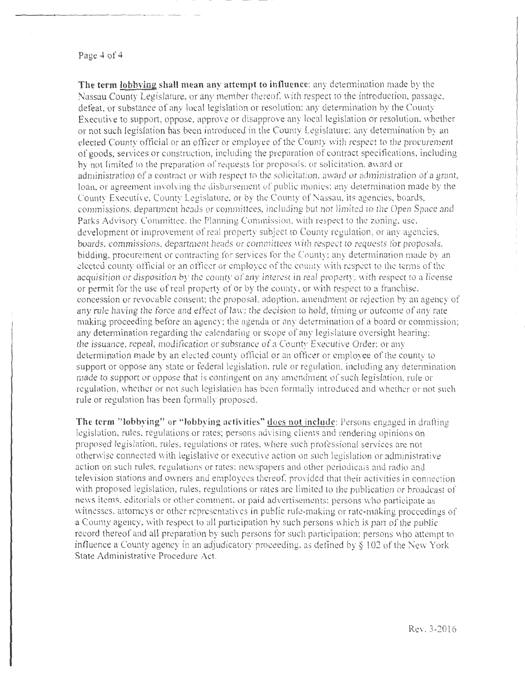#### Page 4 of 4

**The term Jobbving shall mean any attempt to influence:** any determination made by the Nassau County Legislature, or any member thereof, with respect to the introduction, passage. defeat. or substance of any local legislation or resolution: any determination by the County Executive to support, oppose, approve or disapprove any local legislation or resolution, whether or not such legislation has been introduced in the County Legislature: any determination by an elected County official or an officer or employee of the County vvith respect to the procurement of goods, services or construction, including the preparation of contract specifications, including hy not limited Lo the preparation of requests for proposals. or soli citation, award or administration of a contract or with respect to the solicitation, award or administration of a grant, loan, or agreement involving the disbursement of public monies; any determination made by the County Executive, County Legislature, or by the County of Nassau, its agencies, boards, commissions. department heads or committees, including but not limited to the Open Space and Parks Advisory Committee. the Planning Commission. with respect to the zoning. use. development or improvement of real property subject to County regulation, or any agencies, boards, commissions, department heads or commirtees with respect to requests for proposals. bidding. procurement or contracting for services tor the County: any determination made by an elected county official or an officer or employee of the county \vith respect to the terms of the acquisition or disposition by the county of any interest in real property, with respect to a license or permit for the use of real property of or by the county, or with respect to a franchise. concession or revocable consent: the proposal, adoption, amendment or rejection by an agency of any rule having the force and effect of law; the decision to hold, timing or outcome of any rate making proceeding before an agency; the agenda or any determination of a board or commission; any determination regarding the calendaring or scope of any legislature oversight hearing: the issuance. repeaL modification or substance of a County Executive Order: or any determination made by an elected county official or an officer or employee of the county to support or oppose any state or federal legislation, rule or regulation, including any determination made to support or oppose that is contingent on any amendment of such legislation, rule or regulation, whether or not such legislation has been formally introduced and whether or not such rule or regulation has been formally proposed.

The term "lobbying" or "lobbying activities" does not include: Persons engaged in drafting legislation, rules. regulations or rates; persons advising clients and rendering opinions on proposed legislation. rules, regulations or rates. where such professional services are not othervvisc connected with legislative or executive action on such legislation or administrative action on such rules. regulations or rates: ne\vspapers and other periodicals and radio and television stations and ovmers and employees thereof. provided that their activities in connection with proposed legislation, rules, regulations or rates are limited to the publication or broadcast of news items, editorials or other comment, or paid advertisements: persons who participate as witnesses, attorneys or other representatives in public rule-making or rate-making proceedings of a County agency, with respect to all participation by such persons which is part of the public record thereof and all preparation by such persons for such participation; persons who attempt to influence a County agency in an adjudicatory proceeding, as defined by  $\S 102$  of the New York. State Administrative Procedure Act.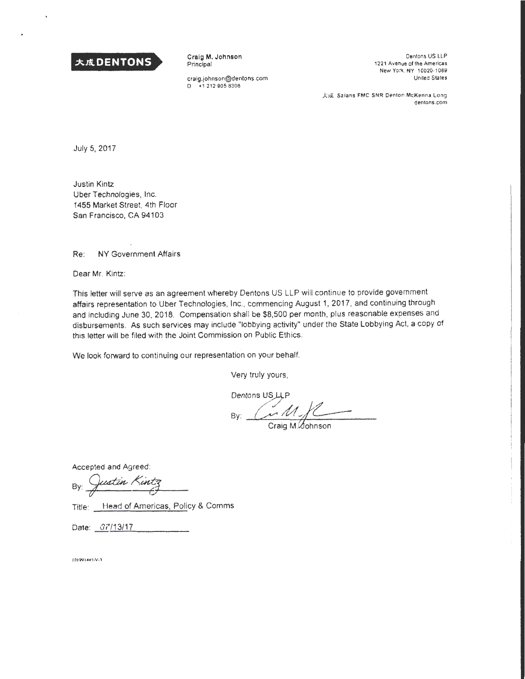

Craig M. Johnson Principal

craig.johnson@dentons .com D +1 212 905 8306

Dentons US LLP 1221 Avenue of the Americas New York, NY 10020-1089 United States

大成 Salans FMC SNR Denton McKenna Long dentons.com

July 5, 2017

Justin Kintz Uber Technologies, Inc. 1455 Market Street, 4th Floor San Francisco, CA 94103

Re: NY Government Affairs

Dear Mr. Kintz:

This letter will serve as an agreement whereby Dentons US LLP will continue to provide government affairs representation to Uber Technologies, Inc., commencing August 1, 2017, and continuing through and including June 30, 2018. Compensation shall be \$8,500 per month, plus reasonable expenses and disbursements. As such services may include "lobbying activity" under the State Lobbying Act, a copy of this letter will be filed with the Joint Commission on Public Ethics.

We look forward to continuing our representation on your behalf.

Very truly yours,

Dentons US LLP  $\n By: *M f*  $\overline{\qquad \qquad }$  *Craig M*. *Sohnson*$ 

Accepted and Agreed:

 $By:$  Justin Kintz

Title: Head of Americas, Policy & Comms

Date: 07/13/17

1019914455V-3